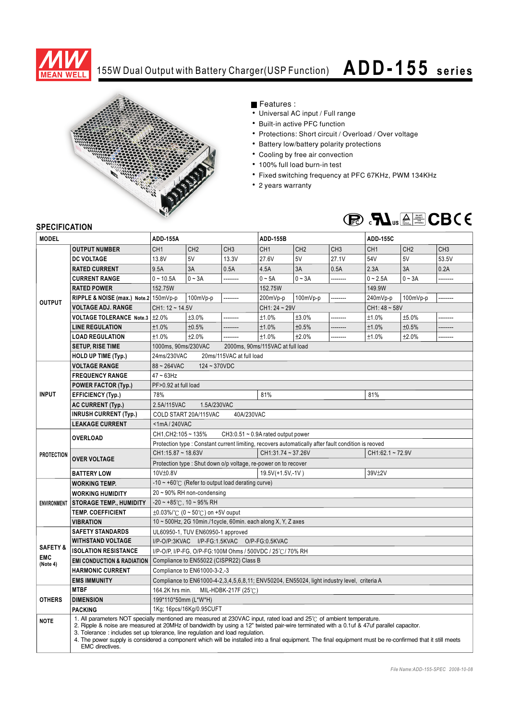

## 155W Dual Output with Battery Charger(USP Function) **ADD-155 s e ri e s**



Features :

- Universal AC input / Full range
- Built-in active PFC function
- Protections: Short circuit / Overload / Over voltage
- Battery low/battery polarity protections
- Cooling by free air convection
- 100% full load burn-in test
- Fixed switching frequency at PFC 67KHz, PWM 134KHz
- 2 years warranty



## **SPECIFICATION**

| יוטו ועם ווטב וט<br><b>MODEL</b>              |                                                                                                                                                                                                                                                                                                                                                                                                                                                                                                                                          | <b>ADD-155A</b>                                                                                     |                                                         |                 | <b>ADD-155B</b>      |                 |                      | <b>ADD-155C</b> |                 |                 |
|-----------------------------------------------|------------------------------------------------------------------------------------------------------------------------------------------------------------------------------------------------------------------------------------------------------------------------------------------------------------------------------------------------------------------------------------------------------------------------------------------------------------------------------------------------------------------------------------------|-----------------------------------------------------------------------------------------------------|---------------------------------------------------------|-----------------|----------------------|-----------------|----------------------|-----------------|-----------------|-----------------|
|                                               | <b>OUTPUT NUMBER</b>                                                                                                                                                                                                                                                                                                                                                                                                                                                                                                                     | CH <sub>1</sub>                                                                                     | CH <sub>2</sub>                                         | CH <sub>3</sub> | CH <sub>1</sub>      | CH <sub>2</sub> | CH <sub>3</sub>      | CH <sub>1</sub> | CH <sub>2</sub> | CH <sub>3</sub> |
| <b>OUTPUT</b>                                 | <b>DC VOLTAGE</b>                                                                                                                                                                                                                                                                                                                                                                                                                                                                                                                        | 13.8V                                                                                               | 5V                                                      | 13.3V           | 27.6V                | 5V              | 27.1V                | 54V             | 5V              | 53.5V           |
|                                               | <b>RATED CURRENT</b>                                                                                                                                                                                                                                                                                                                                                                                                                                                                                                                     | 9.5A                                                                                                | 3A                                                      | 0.5A            | 4.5A                 | 3A              | 0.5A                 | 2.3A            | 3A              | 0.2A            |
|                                               | <b>CURRENT RANGE</b>                                                                                                                                                                                                                                                                                                                                                                                                                                                                                                                     | $0 - 10.5A$                                                                                         | $0 - 3A$                                                | .               | $0 - 5A$             | $0 - 3A$        |                      | $0 - 2.5A$      | $0 - 3A$        |                 |
|                                               |                                                                                                                                                                                                                                                                                                                                                                                                                                                                                                                                          |                                                                                                     |                                                         |                 | .                    |                 | 149.9W               |                 |                 |                 |
|                                               | <b>RATED POWER</b>                                                                                                                                                                                                                                                                                                                                                                                                                                                                                                                       | 152.75W<br>                                                                                         |                                                         |                 | 152.75W<br>--------  |                 |                      | --------        |                 |                 |
|                                               | RIPPLE & NOISE (max.) Note.2 150mVp-p                                                                                                                                                                                                                                                                                                                                                                                                                                                                                                    | 100mVp-p                                                                                            |                                                         |                 | 200mVp-p<br>100mVp-p |                 | 240mVp-p<br>100mVp-p |                 |                 |                 |
|                                               | <b>VOLTAGE ADJ. RANGE</b>                                                                                                                                                                                                                                                                                                                                                                                                                                                                                                                | $CH1: 12 - 14.5V$                                                                                   |                                                         |                 | CH1: 24 ~ 29V        |                 |                      | $CH1:48 - 58V$  |                 |                 |
|                                               | <b>VOLTAGE TOLERANCE Note.3</b>                                                                                                                                                                                                                                                                                                                                                                                                                                                                                                          | ±2.0%                                                                                               | ±3.0%                                                   |                 | ±1.0%                | ±3.0%           |                      | ±1.0%           | ±5.0%           |                 |
|                                               | <b>LINE REGULATION</b>                                                                                                                                                                                                                                                                                                                                                                                                                                                                                                                   | ±1.0%                                                                                               | ±0.5%                                                   |                 | ±1.0%                | ±0.5%           | .                    | ±1.0%           | ±0.5%           |                 |
|                                               | <b>LOAD REGULATION</b>                                                                                                                                                                                                                                                                                                                                                                                                                                                                                                                   | ±1.0%                                                                                               | ±2.0%                                                   | --------        | ±1.0%                | ±2.0%           |                      | ±1.0%           | ±2.0%           | --------        |
|                                               | <b>SETUP, RISE TIME</b>                                                                                                                                                                                                                                                                                                                                                                                                                                                                                                                  |                                                                                                     | 1000ms, 90ms/230VAC<br>2000ms, 90ms/115VAC at full load |                 |                      |                 |                      |                 |                 |                 |
|                                               | <b>HOLD UP TIME (Typ.)</b>                                                                                                                                                                                                                                                                                                                                                                                                                                                                                                               | 24ms/230VAC<br>20ms/115VAC at full load                                                             |                                                         |                 |                      |                 |                      |                 |                 |                 |
| <b>INPUT</b>                                  | <b>VOLTAGE RANGE</b>                                                                                                                                                                                                                                                                                                                                                                                                                                                                                                                     | 88~264VAC<br>$124 - 370VDC$                                                                         |                                                         |                 |                      |                 |                      |                 |                 |                 |
|                                               | <b>FREQUENCY RANGE</b>                                                                                                                                                                                                                                                                                                                                                                                                                                                                                                                   | $47 \sim 63$ Hz                                                                                     |                                                         |                 |                      |                 |                      |                 |                 |                 |
|                                               | <b>POWER FACTOR (Typ.)</b>                                                                                                                                                                                                                                                                                                                                                                                                                                                                                                               | PF>0.92 at full load                                                                                |                                                         |                 |                      |                 |                      |                 |                 |                 |
|                                               | <b>EFFICIENCY (Typ.)</b>                                                                                                                                                                                                                                                                                                                                                                                                                                                                                                                 | 81%<br>78%<br>81%                                                                                   |                                                         |                 |                      |                 |                      |                 |                 |                 |
|                                               | <b>AC CURRENT (Typ.)</b>                                                                                                                                                                                                                                                                                                                                                                                                                                                                                                                 | 2.5A/115VAC<br>1.5A/230VAC                                                                          |                                                         |                 |                      |                 |                      |                 |                 |                 |
|                                               | <b>INRUSH CURRENT (Typ.)</b>                                                                                                                                                                                                                                                                                                                                                                                                                                                                                                             | COLD START 20A/115VAC<br>40A/230VAC                                                                 |                                                         |                 |                      |                 |                      |                 |                 |                 |
|                                               | <b>LEAKAGE CURRENT</b>                                                                                                                                                                                                                                                                                                                                                                                                                                                                                                                   | <1mA/240VAC                                                                                         |                                                         |                 |                      |                 |                      |                 |                 |                 |
| <b>PROTECTION</b>                             | <b>OVERLOAD</b>                                                                                                                                                                                                                                                                                                                                                                                                                                                                                                                          | CH1, CH2: 105 ~ 135%<br>CH3:0.51 $\sim$ 0.9A rated output power                                     |                                                         |                 |                      |                 |                      |                 |                 |                 |
|                                               |                                                                                                                                                                                                                                                                                                                                                                                                                                                                                                                                          | Protection type : Constant current limiting, recovers automatically after fault condition is reoved |                                                         |                 |                      |                 |                      |                 |                 |                 |
|                                               | <b>OVER VOLTAGE</b>                                                                                                                                                                                                                                                                                                                                                                                                                                                                                                                      | $CH1:15.87 \sim 18.63V$<br>CH1:31.74~37.26V<br>CH1:62.1~72.9V                                       |                                                         |                 |                      |                 |                      |                 |                 |                 |
|                                               |                                                                                                                                                                                                                                                                                                                                                                                                                                                                                                                                          | Protection type: Shut down o/p voltage, re-power on to recover                                      |                                                         |                 |                      |                 |                      |                 |                 |                 |
|                                               | <b>BATTERY LOW</b>                                                                                                                                                                                                                                                                                                                                                                                                                                                                                                                       | 10V±0.8V                                                                                            |                                                         |                 | 19.5V(+1.5V,-1V)     |                 |                      | 39V±2V          |                 |                 |
| <b>ENVIRONMENT</b>                            | <b>WORKING TEMP.</b>                                                                                                                                                                                                                                                                                                                                                                                                                                                                                                                     | $-10 \sim +60^{\circ}$ (Refer to output load derating curve)                                        |                                                         |                 |                      |                 |                      |                 |                 |                 |
|                                               | <b>WORKING HUMIDITY</b>                                                                                                                                                                                                                                                                                                                                                                                                                                                                                                                  | 20~90% RH non-condensing                                                                            |                                                         |                 |                      |                 |                      |                 |                 |                 |
|                                               | <b>STORAGE TEMP., HUMIDITY</b>                                                                                                                                                                                                                                                                                                                                                                                                                                                                                                           | $-20 \sim +85^{\circ}$ C, 10 ~ 95% RH                                                               |                                                         |                 |                      |                 |                      |                 |                 |                 |
|                                               | <b>TEMP. COEFFICIENT</b>                                                                                                                                                                                                                                                                                                                                                                                                                                                                                                                 | $\pm 0.03\%$ /°C (0 ~ 50°C) on +5V ouput                                                            |                                                         |                 |                      |                 |                      |                 |                 |                 |
|                                               | <b>VIBRATION</b>                                                                                                                                                                                                                                                                                                                                                                                                                                                                                                                         | 10 ~ 500Hz, 2G 10min./1cycle, 60min. each along X, Y, Z axes                                        |                                                         |                 |                      |                 |                      |                 |                 |                 |
| <b>SAFETY &amp;</b><br><b>EMC</b><br>(Note 4) | <b>SAFETY STANDARDS</b>                                                                                                                                                                                                                                                                                                                                                                                                                                                                                                                  | UL60950-1, TUV EN60950-1 approved                                                                   |                                                         |                 |                      |                 |                      |                 |                 |                 |
|                                               | <b>WITHSTAND VOLTAGE</b>                                                                                                                                                                                                                                                                                                                                                                                                                                                                                                                 | I/P-O/P:3KVAC I/P-FG:1.5KVAC O/P-FG:0.5KVAC                                                         |                                                         |                 |                      |                 |                      |                 |                 |                 |
|                                               | <b>ISOLATION RESISTANCE</b>                                                                                                                                                                                                                                                                                                                                                                                                                                                                                                              | I/P-O/P, I/P-FG, O/P-FG:100M Ohms / 500VDC / 25°C / 70% RH                                          |                                                         |                 |                      |                 |                      |                 |                 |                 |
|                                               | <b>EMI CONDUCTION &amp; RADIATION</b>                                                                                                                                                                                                                                                                                                                                                                                                                                                                                                    | Compliance to EN55022 (CISPR22) Class B                                                             |                                                         |                 |                      |                 |                      |                 |                 |                 |
|                                               | <b>HARMONIC CURRENT</b>                                                                                                                                                                                                                                                                                                                                                                                                                                                                                                                  | Compliance to EN61000-3-2,-3                                                                        |                                                         |                 |                      |                 |                      |                 |                 |                 |
|                                               | <b>EMS IMMUNITY</b>                                                                                                                                                                                                                                                                                                                                                                                                                                                                                                                      | Compliance to EN61000-4-2,3,4,5,6,8,11; ENV50204, EN55024, light industry level, criteria A         |                                                         |                 |                      |                 |                      |                 |                 |                 |
| <b>OTHERS</b>                                 | <b>MTBF</b>                                                                                                                                                                                                                                                                                                                                                                                                                                                                                                                              | 164.2K hrs min.<br>MIL-HDBK-217F (25 $°C$ )                                                         |                                                         |                 |                      |                 |                      |                 |                 |                 |
|                                               | <b>DIMENSION</b>                                                                                                                                                                                                                                                                                                                                                                                                                                                                                                                         | 199*110*50mm (L*W*H)                                                                                |                                                         |                 |                      |                 |                      |                 |                 |                 |
|                                               | <b>PACKING</b>                                                                                                                                                                                                                                                                                                                                                                                                                                                                                                                           | 1Kg; 16pcs/16Kg/0.95CUFT                                                                            |                                                         |                 |                      |                 |                      |                 |                 |                 |
| <b>NOTE</b>                                   | 1. All parameters NOT specially mentioned are measured at 230VAC input, rated load and 25°C of ambient temperature.<br>2. Ripple & noise are measured at 20MHz of bandwidth by using a 12" twisted pair-wire terminated with a 0.1uf & 47uf parallel capacitor.<br>3. Tolerance: includes set up tolerance, line regulation and load regulation.<br>4. The power supply is considered a component which will be installed into a final equipment. The final equipment must be re-confirmed that it still meets<br><b>EMC</b> directives. |                                                                                                     |                                                         |                 |                      |                 |                      |                 |                 |                 |